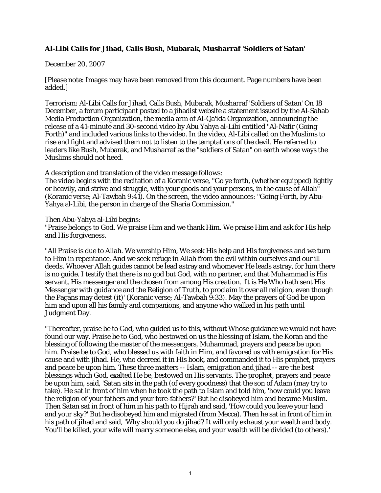## **Al-Libi Calls for Jihad, Calls Bush, Mubarak, Musharraf 'Soldiers of Satan'**

## December 20, 2007

[Please note: Images may have been removed from this document. Page numbers have been added.]

Terrorism: Al-Libi Calls for Jihad, Calls Bush, Mubarak, Musharraf 'Soldiers of Satan' On 18 December, a forum participant posted to a jihadist website a statement issued by the Al-Sahab Media Production Organization, the media arm of Al-Qa'ida Organization, announcing the release of a 41-minute and 30-second video by Abu Yahya al-Libi entitled "Al-Nafir (Going Forth)" and included various links to the video. In the video, Al-Libi called on the Muslims to rise and fight and advised them not to listen to the temptations of the devil. He referred to leaders like Bush, Mubarak, and Musharraf as the "soldiers of Satan" on earth whose ways the Muslims should not heed.

A description and translation of the video message follows:

The video begins with the recitation of a Koranic verse, "Go ye forth, (whether equipped) lightly or heavily, and strive and struggle, with your goods and your persons, in the cause of Allah" (Koranic verse; Al-Tawbah 9:41). On the screen, the video announces: "Going Forth, by Abu-Yahya al-Libi, the person in charge of the Sharia Commission."

Then Abu-Yahya al-Libi begins:

"Praise belongs to God. We praise Him and we thank Him. We praise Him and ask for His help and His forgiveness.

"All Praise is due to Allah. We worship Him, We seek His help and His forgiveness and we turn to Him in repentance. And we seek refuge in Allah from the evil within ourselves and our ill deeds. Whoever Allah guides cannot be lead astray and whomever He leads astray, for him there is no guide. I testify that there is no god but God, with no partner, and that Muhammad is His servant, His messenger and the chosen from among His creation. 'It is He Who hath sent His Messenger with guidance and the Religion of Truth, to proclaim it over all religion, even though the Pagans may detest (it)' (Koranic verse; Al-Tawbah 9:33). May the prayers of God be upon him and upon all his family and companions, and anyone who walked in his path until Judgment Day.

"Thereafter, praise be to God, who guided us to this, without Whose guidance we would not have found our way. Praise be to God, who bestowed on us the blessing of Islam, the Koran and the blessing of following the master of the messengers, Muhammad, prayers and peace be upon him. Praise be to God, who blessed us with faith in Him, and favored us with emigration for His cause and with jihad. He, who decreed it in His book, and commanded it to His prophet, prayers and peace be upon him. These three matters -- Islam, emigration and jihad -- are the best blessings which God, exalted He be, bestowed on His servants. The prophet, prayers and peace be upon him, said, 'Satan sits in the path (of every goodness) that the son of Adam (may try to take). He sat in front of him when he took the path to Islam and told him, 'how could you leave the religion of your fathers and your fore-fathers?' But he disobeyed him and became Muslim. Then Satan sat in front of him in his path to Hijrah and said, 'How could you leave your land and your sky?' But he disobeyed him and migrated (from Mecca). Then he sat in front of him in his path of jihad and said, 'Why should you do jihad? It will only exhaust your wealth and body. You'll be killed, your wife will marry someone else, and your wealth will be divided (to others).'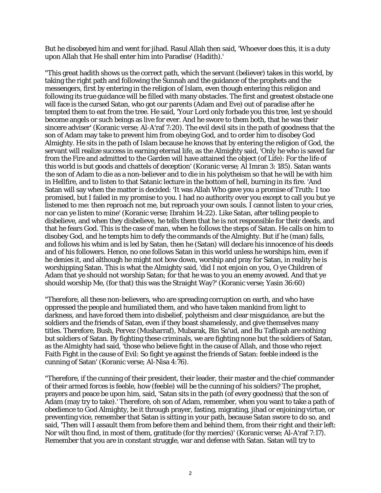But he disobeyed him and went for jihad. Rasul Allah then said, 'Whoever does this, it is a duty upon Allah that He shall enter him into Paradise' (Hadith).'

"This great hadith shows us the correct path, which the servant (believer) takes in this world, by taking the right path and following the Sunnah and the guidance of the prophets and the messengers, first by entering in the religion of Islam, even though entering this religion and following its true guidance will be filled with many obstacles. The first and greatest obstacle one will face is the cursed Satan, who got our parents (Adam and Eve) out of paradise after he tempted them to eat from the tree. He said, 'Your Lord only forbade you this tree, lest ye should become angels or such beings as live for ever. And he swore to them both, that he was their sincere adviser' (Koranic verse; Al-A'raf 7:20). The evil devil sits in the path of goodness that the son of Adam may take to prevent him from obeying God, and to order him to disobey God Almighty. He sits in the path of Islam because he knows that by entering the religion of God, the servant will realize success in earning eternal life, as the Almighty said, 'Only he who is saved far from the Fire and admitted to the Garden will have attained the object (of Life): For the life of this world is but goods and chattels of deception' (Koranic verse; Al Imran 3: 185). Satan wants the son of Adam to die as a non-believer and to die in his polytheism so that he will be with him in Hellfire, and to listen to that Satanic lecture in the bottom of hell, burning in its fire. 'And Satan will say when the matter is decided: 'It was Allah Who gave you a promise of Truth: I too promised, but I failed in my promise to you. I had no authority over you except to call you but ye listened to me: then reproach not me, but reproach your own souls. I cannot listen to your cries, nor can ye listen to mine' (Koranic verse; Ibrahim 14:22). Like Satan, after telling people to disbelieve, and when they disbelieve, he tells them that he is not responsible for their deeds, and that he fears God. This is the case of man, when he follows the steps of Satan. He calls on him to disobey God, and he tempts him to defy the commands of the Almighty. But if he (man) falls, and follows his whim and is led by Satan, then he (Satan) will declare his innocence of his deeds and of his followers. Hence, no one follows Satan in this world unless he worships him, even if he denies it, and although he might not bow down, worship and pray for Satan, in reality he is worshipping Satan. This is what the Almighty said, 'did I not enjoin on you, O ye Children of Adam that ye should not worship Satan; for that he was to you an enemy avowed. And that ye should worship Me, (for that) this was the Straight Way?' (Koranic verse; Yasin 36:60)

"Therefore, all these non-believers, who are spreading corruption on earth, and who have oppressed the people and humiliated them, and who have taken mankind from light to darkness, and have forced them into disbelief, polytheism and clear misguidance, are but the soldiers and the friends of Satan, even if they boast shamelessly, and give themselves many titles. Therefore, Bush, Pervez (Musharraf), Mubarak, Bin Sa'ud, and Bu Tafliqah are nothing but soldiers of Satan. By fighting these criminals, we are fighting none but the soldiers of Satan, as the Almighty had said, 'those who believe fight in the cause of Allah, and those who reject Faith Fight in the cause of Evil: So fight ye against the friends of Satan: feeble indeed is the cunning of Satan' (Koranic verse; Al-Nisa 4:76).

"Therefore, if the cunning of their president, their leader, their master and the chief commander of their armed forces is feeble, how (feeble) will be the cunning of his soldiers? The prophet, prayers and peace be upon him, said, 'Satan sits in the path (of every goodness) that the son of Adam (may try to take).' Therefore, oh son of Adam, remember, when you want to take a path of obedience to God Almighty, be it through prayer, fasting, migrating, jihad or enjoining virtue, or preventing vice, remember that Satan is sitting in your path, because Satan swore to do so, and said, 'Then will I assault them from before them and behind them, from their right and their left: Nor wilt thou find, in most of them, gratitude (for thy mercies)' (Koranic verse; Al-A'raf 7:17). Remember that you are in constant struggle, war and defense with Satan. Satan will try to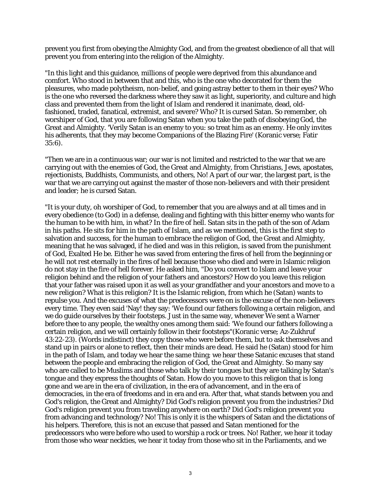prevent you first from obeying the Almighty God, and from the greatest obedience of all that will prevent you from entering into the religion of the Almighty.

"In this light and this guidance, millions of people were deprived from this abundance and comfort. Who stood in between that and this, who is the one who decorated for them the pleasures, who made polytheism, non-belief, and going astray better to them in their eyes? Who is the one who reversed the darkness where they saw it as light, superiority, and culture and high class and prevented them from the light of Islam and rendered it inanimate, dead, oldfashioned, traded, fanatical, extremist, and severe? Who? It is cursed Satan. So remember, oh worshiper of God, that you are following Satan when you take the path of disobeying God, the Great and Almighty. 'Verily Satan is an enemy to you: so treat him as an enemy. He only invites his adherents, that they may become Companions of the Blazing Fire' (Koranic verse; Fatir 35:6).

"Then we are in a continuous war; our war is not limited and restricted to the war that we are carrying out with the enemies of God, the Great and Almighty, from Christians, Jews, apostates, rejectionists, Buddhists, Communists, and others, No! A part of our war, the largest part, is the war that we are carrying out against the master of those non-believers and with their president and leader; he is cursed Satan.

"It is your duty, oh worshiper of God, to remember that you are always and at all times and in every obedience (to God) in a defense, dealing and fighting with this bitter enemy who wants for the human to be with him, in what? In the fire of hell. Satan sits in the path of the son of Adam in his paths. He sits for him in the path of Islam, and as we mentioned, this is the first step to salvation and success, for the human to embrace the religion of God, the Great and Almighty, meaning that he was salvaged, if he died and was in this religion, is saved from the punishment of God, Exalted He be. Either he was saved from entering the fires of hell from the beginning or he will not rest eternally in the fires of hell because those who died and were in Islamic religion do not stay in the fire of hell forever. He asked him, "Do you convert to Islam and leave your religion behind and the religion of your fathers and ancestors? How do you leave this religion that your father was raised upon it as well as your grandfather and your ancestors and move to a new religion? What is this religion? It is the Islamic religion, from which he (Satan) wants to repulse you. And the excuses of what the predecessors were on is the excuse of the non-believers every time. They even said 'Nay! they say: 'We found our fathers following a certain religion, and we do guide ourselves by their footsteps. Just in the same way, whenever We sent a Warner before thee to any people, the wealthy ones among them said: 'We found our fathers following a certain religion, and we will certainly follow in their footsteps"(Koranic verse; Az-Zukhruf 43:22-23). (Words indistinct) they copy those who were before them, but to ask themselves and stand up in pairs or alone to reflect, then their minds are dead. He said he (Satan) stood for him in the path of Islam, and today we hear the same thing; we hear these Satanic excuses that stand between the people and embracing the religion of God, the Great and Almighty. So many say who are called to be Muslims and those who talk by their tongues but they are talking by Satan's tongue and they express the thoughts of Satan. How do you move to this religion that is long gone and we are in the era of civilization, in the era of advancement, and in the era of democracies, in the era of freedoms and in era and era. After that, what stands between you and God's religion, the Great and Almighty? Did God's religion prevent you from the industries? Did God's religion prevent you from traveling anywhere on earth? Did God's religion prevent you from advancing and technology? No! This is only it is the whispers of Satan and the dictations of his helpers. Therefore, this is not an excuse that passed and Satan mentioned for the predecessors who were before who used to worship a rock or trees. No! Rather, we hear it today from those who wear neckties, we hear it today from those who sit in the Parliaments, and we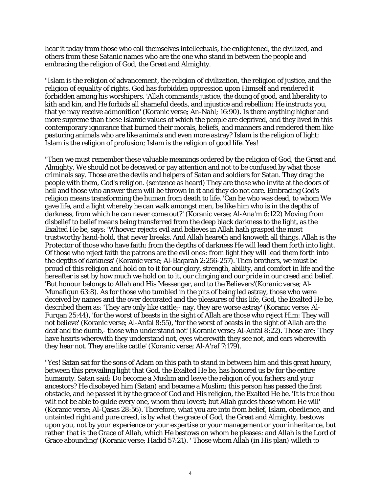hear it today from those who call themselves intellectuals, the enlightened, the civilized, and others from these Satanic names who are the one who stand in between the people and embracing the religion of God, the Great and Almighty.

"Islam is the religion of advancement, the religion of civilization, the religion of justice, and the religion of equality of rights. God has forbidden oppression upon Himself and rendered it forbidden among his worshipers. 'Allah commands justice, the doing of good, and liberality to kith and kin, and He forbids all shameful deeds, and injustice and rebellion: He instructs you, that ye may receive admonition' (Koranic verse; An-Nahl; 16:90). Is there anything higher and more supreme than these Islamic values of which the people are deprived, and they lived in this contemporary ignorance that burned their morals, beliefs, and manners and rendered them like pasturing animals who are like animals and even more astray? Islam is the religion of light; Islam is the religion of profusion; Islam is the religion of good life. Yes!

"Then we must remember these valuable meanings ordered by the religion of God, the Great and Almighty. We should not be deceived or pay attention and not to be confused by what those criminals say. Those are the devils and helpers of Satan and soldiers for Satan. They drag the people with them, God's religion. (sentence as heard) They are those who invite at the doors of hell and those who answer them will be thrown in it and they do not care. Embracing God's religion means transforming the human from death to life. 'Can he who was dead, to whom We gave life, and a light whereby he can walk amongst men, be like him who is in the depths of darkness, from which he can never come out?' (Koranic verse; Al-Ana'm 6:122) Moving from disbelief to belief means being transferred from the deep black darkness to the light, as the Exalted He be, says: 'Whoever rejects evil and believes in Allah hath grasped the most trustworthy hand-hold, that never breaks. And Allah heareth and knoweth all things. Allah is the Protector of those who have faith: from the depths of darkness He will lead them forth into light. Of those who reject faith the patrons are the evil ones: from light they will lead them forth into the depths of darkness' (Koranic verse; Al-Baqarah 2:256-257). Then brothers, we must be proud of this religion and hold on to it for our glory, strength, ability, and comfort in life and the hereafter is set by how much we hold on to it, our clinging and our pride in our creed and belief. 'But honour belongs to Allah and His Messenger, and to the Believers'(Koranic verse; Al-Munafiqun 63:8). As for those who tumbled in the pits of being led astray, those who were deceived by names and the over decorated and the pleasures of this life, God, the Exalted He be, described them as: 'They are only like cattle;- nay, they are worse astray' (Koranic verse; Al-Furqan 25:44), 'for the worst of beasts in the sight of Allah are those who reject Him: They will not believe' (Koranic verse; Al-Anfal 8:55), 'for the worst of beasts in the sight of Allah are the deaf and the dumb,- those who understand not' (Koranic verse; Al-Anfal 8:22). Those are: 'They have hearts wherewith they understand not, eyes wherewith they see not, and ears wherewith they hear not. They are like cattle' (Koranic verse; Al-A'raf 7:179).

"Yes! Satan sat for the sons of Adam on this path to stand in between him and this great luxury, between this prevailing light that God, the Exalted He be, has honored us by for the entire humanity. Satan said: Do become a Muslim and leave the religion of you fathers and your ancestors? He disobeyed him (Satan) and became a Muslim; this person has passed the first obstacle, and he passed it by the grace of God and His religion, the Exalted He be. 'It is true thou wilt not be able to guide every one, whom thou lovest; but Allah guides those whom He will' (Koranic verse; Al-Qasas 28:56). Therefore, what you are into from belief, Islam, obedience, and untainted right and pure creed, is by what the grace of God, the Great and Almighty, bestows upon you, not by your experience or your expertise or your management or your inheritance, but rather 'that is the Grace of Allah, which He bestows on whom he pleases: and Allah is the Lord of Grace abounding' (Koranic verse; Hadid 57:21). ' Those whom Allah (in His plan) willeth to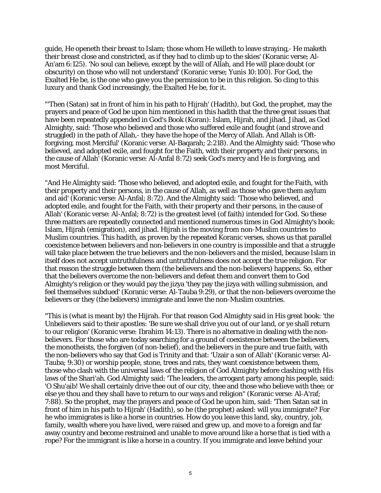guide, He openeth their breast to Islam; those whom He willeth to leave straying,- He maketh their breast close and constricted, as if they had to climb up to the skies' (Koranic verse; Al-An'am 6:125). 'No soul can believe, except by the will of Allah, and He will place doubt (or obscurity) on those who will not understand' (Koranic verse; Yunis 10:100). For God, the Exalted He be, is the one who gave you the permission to be in this religion. So cling to this luxury and thank God increasingly, the Exalted He be, for it.

"'Then (Satan) sat in front of him in his path to Hijrah' (Hadith), but God, the prophet, may the prayers and peace of God be upon him mentioned in this hadith that the three great issues that have been repeatedly appended in God's Book (Koran): Islam, Hijrah, and jihad. Jihad, as God Almighty, said: 'Those who believed and those who suffered exile and fought (and strove and struggled) in the path of Allah,- they have the hope of the Mercy of Allah. And Allah is Oftforgiving, most Merciful' (Koranic verse: Al-Baqarah; 2:218). And the Almighty said: 'Those who believed, and adopted exile, and fought for the Faith, with their property and their persons, in the cause of Allah' (Koranic verse: Al-Anfal 8:72) seek God's mercy and He is forgiving, and most Merciful.

"And He Almighty said: 'Those who believed, and adopted exile, and fought for the Faith, with their property and their persons, in the cause of Allah, as well as those who gave them asylum and aid' (Koranic verse: Al-Anfal; 8:72). And the Almighty said: 'Those who believed, and adopted exile, and fought for the Faith, with their property and their persons, in the cause of Allah' (Koranic verse: Al-Anfal; 8:72) is the greatest level (of faith) intended for God. So these three matters are repeatedly connected and mentioned numerous times in God Almighty's book: Islam, Hijrah (emigration), and jihad. Hijrah is the moving from non-Muslim countries to Muslim countries. This hadith, as proven by the repeated Koranic verses, shows us that parallel coexistence between believers and non-believers in one country is impossible and that a struggle will take place between the true believers and the non-believers and the misled, because Islam in itself does not accept untruthfulness and untruthfulness does not accept the true religion. For that reason the struggle between them (the believers and the non-believers) happens. So, either that the believers overcome the non-believers and defeat them and convert them to God Almighty's religion or they would pay the jizya 'they pay the jizya with willing submission, and feel themselves subdued' (Koranic verse: Al-Tauba 9:29), or that the non-believers overcome the believers or they (the believers) immigrate and leave the non-Muslim countries.

"This is (what is meant by) the Hijrah. For that reason God Almighty said in His great book: 'the Unbelievers said to their apostles: 'Be sure we shall drive you out of our land, or ye shall return to our religion' (Koranic verse: Ibrahim 14:13). There is no alternative in dealing with the nonbelievers. For those who are today searching for a ground of coexistence between the believers, the monotheists, the forgiven (of non-belief), and the believers in the pure and true faith, with the non-believers who say that God is Trinity and that: 'Uzair a son of Allah' (Koranic verse: Al-Tauba; 9:30) or worship people, stone, trees and rats, they want coexistence between them, those who clash with the universal laws of the religion of God Almighty before clashing with His laws of the Shari'ah. God Almighty said: 'The leaders, the arrogant party among his people, said: 'O Shu'aib! We shall certainly drive thee out of our city, thee and those who believe with thee; or else ye thou and they shall have to return to our ways and religion" (Koranic verse: Al-A'raf; 7:88). So the prophet, may the prayers and peace of God be upon him, said: 'Then Satan sat in front of him in his path to Hijrah' (Hadith), so he (the prophet) asked: will you immigrate? For he who immigrates is like a horse in countries. How do you leave this land, sky, country, job, family, wealth where you have lived, were raised and grew up, and move to a foreign and far away country and become restrained and unable to move around like a horse that is tied with a rope? For the immigrant is like a horse in a country. If you immigrate and leave behind your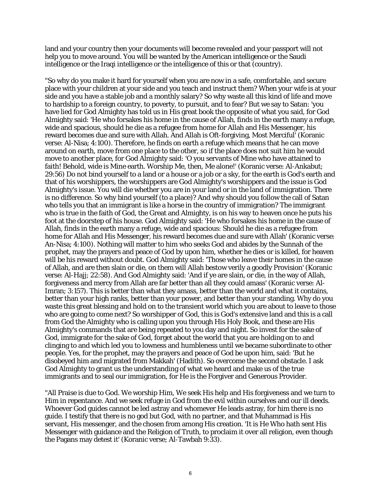land and your country then your documents will become revealed and your passport will not help you to move around. You will be wanted by the American intelligence or the Saudi intelligence or the Iraqi intelligence or the intelligence of this or that (country).

"So why do you make it hard for yourself when you are now in a safe, comfortable, and secure place with your children at your side and you teach and instruct them? When your wife is at your side and you have a stable job and a monthly salary? So why waste all this kind of life and move to hardship to a foreign country, to poverty, to pursuit, and to fear? But we say to Satan: 'you have lied for God Almighty has told us in His great book the opposite of what you said, for God Almighty said: 'He who forsakes his home in the cause of Allah, finds in the earth many a refuge, wide and spacious, should he die as a refugee from home for Allah and His Messenger, his reward becomes due and sure with Allah. And Allah is Oft-forgiving, Most Merciful' (Koranic verse: Al-Nisa; 4:100). Therefore, he finds on earth a refuge which means that he can move around on earth, move from one place to the other, so if the place does not suit him he would move to another place, for God Almighty said: 'O you servants of Mine who have attained to faith! Behold, wide is Mine earth. Worship Me, then, Me alone!' (Koranic verse: Al-Ankabut; 29:56) Do not bind yourself to a land or a house or a job or a sky, for the earth is God's earth and that of his worshippers, the worshippers are God Almighty's worshippers and the issue is God Almighty's issue. You will die whether you are in your land or in the land of immigration. There is no difference. So why bind yourself (to a place)? And why should you follow the call of Satan who tells you that an immigrant is like a horse in the country of immigration? The immigrant who is true in the faith of God, the Great and Almighty, is on his way to heaven once he puts his foot at the doorstep of his house. God Almighty said: 'He who forsakes his home in the cause of Allah, finds in the earth many a refuge, wide and spacious: Should he die as a refugee from home for Allah and His Messenger, his reward becomes due and sure with Allah' (Koranic verse: An-Nisa; 4:100). Nothing will matter to him who seeks God and abides by the Sunnah of the prophet, may the prayers and peace of God by upon him, whether he dies or is killed, for heaven will be his reward without doubt. God Almighty said: 'Those who leave their homes in the cause of Allah, and are then slain or die, on them will Allah bestow verily a goodly Provision' (Koranic verse: Al-Hajj; 22:58). And God Almighty said: 'And if ye are slain, or die, in the way of Allah, forgiveness and mercy from Allah are far better than all they could amass' (Koranic verse: Al-Imran; 3:157). This is better than what they amass, better than the world and what it contains, better than your high ranks, better than your power, and better than your standing. Why do you waste this great blessing and hold on to the transient world which you are about to leave to those who are going to come next? So worshipper of God, this is God's extensive land and this is a call from God the Almighty who is calling upon you through His Holy Book, and these are His Almighty's commands that are being repeated to you day and night. So invest for the sake of God, immigrate for the sake of God, forget about the world that you are holding on to and clinging to and which led you to lowness and humbleness until we became subordinate to other people. Yes, for the prophet, may the prayers and peace of God be upon him, said: 'But he disobeyed him and migrated from Makkah' (Hadith). So overcome the second obstacle. I ask God Almighty to grant us the understanding of what we heard and make us of the true immigrants and to seal our immigration, for He is the Forgiver and Generous Provider.

"All Praise is due to God. We worship Him, We seek His help and His forgiveness and we turn to Him in repentance. And we seek refuge in God from the evil within ourselves and our ill deeds. Whoever God guides cannot be led astray and whomever He leads astray, for him there is no guide. I testify that there is no god but God, with no partner, and that Muhammad is His servant, His messenger, and the chosen from among His creation. 'It is He Who hath sent His Messenger with guidance and the Religion of Truth, to proclaim it over all religion, even though the Pagans may detest it' (Koranic verse; Al-Tawbah 9:33).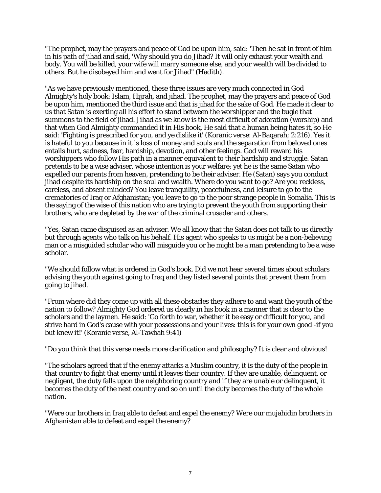"The prophet, may the prayers and peace of God be upon him, said: 'Then he sat in front of him in his path of jihad and said, 'Why should you do Jihad? It will only exhaust your wealth and body. You will be killed, your wife will marry someone else, and your wealth will be divided to others. But he disobeyed him and went for Jihad" (Hadith).

"As we have previously mentioned, these three issues are very much connected in God Almighty's holy book: Islam, Hijrah, and jihad. The prophet, may the prayers and peace of God be upon him, mentioned the third issue and that is jihad for the sake of God. He made it clear to us that Satan is exerting all his effort to stand between the worshipper and the bugle that summons to the field of jihad. Jihad as we know is the most difficult of adoration (worship) and that when God Almighty commanded it in His book, He said that a human being hates it, so He said: 'Fighting is prescribed for you, and ye dislike it' (Koranic verse: Al-Baqarah; 2:216). Yes it is hateful to you because in it is loss of money and souls and the separation from beloved ones entails hurt, sadness, fear, hardship, devotion, and other feelings. God will reward his worshippers who follow His path in a manner equivalent to their hardship and struggle. Satan pretends to be a wise adviser, whose intention is your welfare; yet he is the same Satan who expelled our parents from heaven, pretending to be their adviser. He (Satan) says you conduct jihad despite its hardship on the soul and wealth. Where do you want to go? Are you reckless, careless, and absent minded? You leave tranquility, peacefulness, and leisure to go to the crematories of Iraq or Afghanistan; you leave to go to the poor strange people in Somalia. This is the saying of the wise of this nation who are trying to prevent the youth from supporting their brothers, who are depleted by the war of the criminal crusader and others.

"Yes, Satan came disguised as an adviser. We all know that the Satan does not talk to us directly but through agents who talk on his behalf. His agent who speaks to us might be a non-believing man or a misguided scholar who will misguide you or he might be a man pretending to be a wise scholar.

"We should follow what is ordered in God's book. Did we not hear several times about scholars advising the youth against going to Iraq and they listed several points that prevent them from going to jihad.

"From where did they come up with all these obstacles they adhere to and want the youth of the nation to follow? Almighty God ordered us clearly in his book in a manner that is clear to the scholars and the laymen. He said: 'Go forth to war, whether it be easy or difficult for you, and strive hard in God's cause with your possessions and your lives: this is for your own good -if you but knew it!' (Koranic verse, Al-Tawbah 9:41)

"Do you think that this verse needs more clarification and philosophy? It is clear and obvious!

"The scholars agreed that if the enemy attacks a Muslim country, it is the duty of the people in that country to fight that enemy until it leaves their country. If they are unable, delinquent, or negligent, the duty falls upon the neighboring country and if they are unable or delinquent, it becomes the duty of the next country and so on until the duty becomes the duty of the whole nation.

"Were our brothers in Iraq able to defeat and expel the enemy? Were our mujahidin brothers in Afghanistan able to defeat and expel the enemy?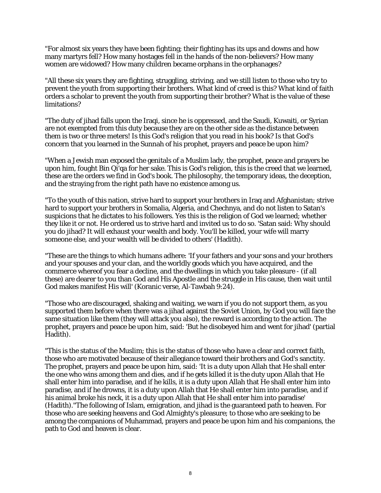"For almost six years they have been fighting; their fighting has its ups and downs and how many martyrs fell? How many hostages fell in the hands of the non-believers? How many women are widowed? How many children became orphans in the orphanages?

"All these six years they are fighting, struggling, striving, and we still listen to those who try to prevent the youth from supporting their brothers. What kind of creed is this? What kind of faith orders a scholar to prevent the youth from supporting their brother? What is the value of these limitations?

"The duty of jihad falls upon the Iraqi, since he is oppressed, and the Saudi, Kuwaiti, or Syrian are not exempted from this duty because they are on the other side as the distance between them is two or three meters! Is this God's religion that you read in his book? Is that God's concern that you learned in the Sunnah of his prophet, prayers and peace be upon him?

"When a Jewish man exposed the genitals of a Muslim lady, the prophet, peace and prayers be upon him, fought Bin Qi'qa for her sake. This is God's religion, this is the creed that we learned, these are the orders we find in God's book. The philosophy, the temporary ideas, the deception, and the straying from the right path have no existence among us.

"To the youth of this nation, strive hard to support your brothers in Iraq and Afghanistan; strive hard to support your brothers in Somalia, Algeria, and Chechnya, and do not listen to Satan's suspicions that he dictates to his followers. Yes this is the religion of God we learned; whether they like it or not. He ordered us to strive hard and invited us to do so. 'Satan said: Why should you do jihad? It will exhaust your wealth and body. You'll be killed, your wife will marry someone else, and your wealth will be divided to others' (Hadith).

"These are the things to which humans adhere: 'If your fathers and your sons and your brothers and your spouses and your clan, and the worldly goods which you have acquired, and the commerce whereof you fear a decline, and the dwellings in which you take pleasure - (if all these) are dearer to you than God and His Apostle and the struggle in His cause, then wait until God makes manifest His will' (Koranic verse, Al-Tawbah 9:24).

"Those who are discouraged, shaking and waiting, we warn if you do not support them, as you supported them before when there was a jihad against the Soviet Union, by God you will face the same situation like them (they will attack you also), the reward is according to the action. The prophet, prayers and peace be upon him, said: 'But he disobeyed him and went for jihad' (partial Hadith).

"This is the status of the Muslim; this is the status of those who have a clear and correct faith, those who are motivated because of their allegiance toward their brothers and God's sanctity. The prophet, prayers and peace be upon him, said: 'It is a duty upon Allah that He shall enter the one who wins among them and dies, and if he gets killed it is the duty upon Allah that He shall enter him into paradise, and if he kills, it is a duty upon Allah that He shall enter him into paradise, and if he drowns, it is a duty upon Allah that He shall enter him into paradise, and if his animal broke his neck, it is a duty upon Allah that He shall enter him into paradise' (Hadith)."The following of Islam, emigration, and jihad is the guaranteed path to heaven. For those who are seeking heavens and God Almighty's pleasure; to those who are seeking to be among the companions of Muhammad, prayers and peace be upon him and his companions, the path to God and heaven is clear.